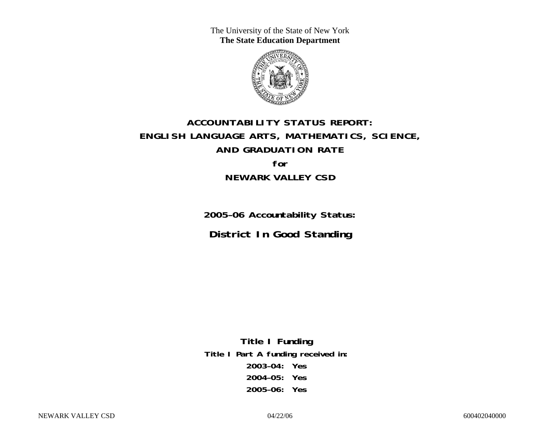The University of the State of New York **The State Education Department** 



# **ACCOUNTABILITY STATUS REPORT: ENGLISH LANGUAGE ARTS, MATHEMATICS, SCIENCE, AND GRADUATION RATE for NEWARK VALLEY CSD**

**2005–06 Accountability Status: District In Good Standing** 

**Title I Funding Title I Part A funding received in: 2003–04: Yes 2004–05: Yes 2005–06: Yes**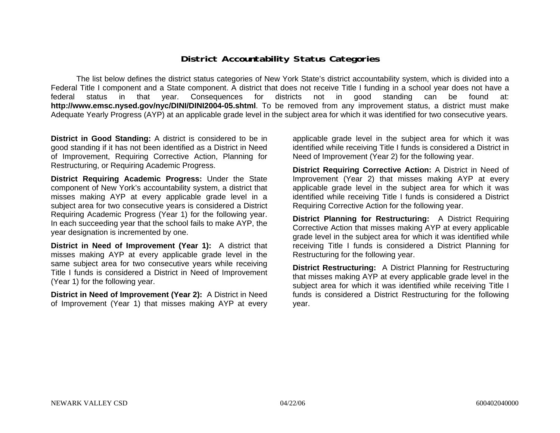### **District Accountability Status Categories**

The list below defines the district status categories of New York State's district accountability system, which is divided into a Federal Title I component and a State component. A district that does not receive Title I funding in a school year does not have a federal status in that year. Consequences for districts not in good standing can be found at: **http://www.emsc.nysed.gov/nyc/DINI/DINI2004-05.shtml**. To be removed from any improvement status, a district must make Adequate Yearly Progress (AYP) at an applicable grade level in the subject area for which it was identified for two consecutive years.

**District in Good Standing:** A district is considered to be in good standing if it has not been identified as a District in Need of Improvement, Requiring Corrective Action, Planning for Restructuring, or Requiring Academic Progress.

**District Requiring Academic Progress:** Under the State component of New York's accountability system, a district that misses making AYP at every applicable grade level in a subject area for two consecutive years is considered a District Requiring Academic Progress (Year 1) for the following year. In each succeeding year that the school fails to make AYP, the year designation is incremented by one.

**District in Need of Improvement (Year 1):** A district that misses making AYP at every applicable grade level in the same subject area for two consecutive years while receiving Title I funds is considered a District in Need of Improvement (Year 1) for the following year.

**District in Need of Improvement (Year 2):** A District in Need of Improvement (Year 1) that misses making AYP at every

applicable grade level in the subject area for which it was identified while receiving Title I funds is considered a District in Need of Improvement (Year 2) for the following year.

**District Requiring Corrective Action:** A District in Need of Improvement (Year 2) that misses making AYP at every applicable grade level in the subject area for which it was identified while receiving Title I funds is considered a District Requiring Corrective Action for the following year.

**District Planning for Restructuring:** A District Requiring Corrective Action that misses making AYP at every applicable grade level in the subject area for which it was identified while receiving Title I funds is considered a District Planning for Restructuring for the following year.

**District Restructuring:** A District Planning for Restructuring that misses making AYP at every applicable grade level in the subject area for which it was identified while receiving Title I funds is considered a District Restructuring for the following year.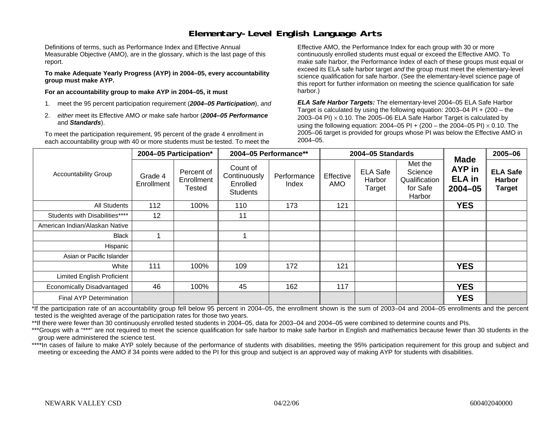### **Elementary-Level English Language Arts**

Definitions of terms, such as Performance Index and Effective Annual Measurable Objective (AMO), are in the glossary, which is the last page of this report.

**To make Adequate Yearly Progress (AYP) in 2004–05, every accountability group must make AYP.** 

**For an accountability group to make AYP in 2004–05, it must** 

- 1. meet the 95 percent participation requirement (*2004–05 Participation*), *and*
- 2. *either* meet its Effective AMO *or* make safe harbor (*2004–05 Performance*  and *Standards*).

To meet the participation requirement, 95 percent of the grade 4 enrollment in each accountability group with 40 or more students must be tested. To meet the

Effective AMO, the Performance Index for each group with 30 or more continuously enrolled students must equal or exceed the Effective AMO. To make safe harbor, the Performance Index of each of these groups must equal or exceed its ELA safe harbor target *and* the group must meet the elementary-level science qualification for safe harbor. (See the elementary-level science page of this report for further information on meeting the science qualification for safe harbor.)

*ELA Safe Harbor Targets:* The elementary-level 2004–05 ELA Safe Harbor Target is calculated by using the following equation: 2003–04 PI + (200 – the 2003–04 PI)  $\times$  0.10. The 2005–06 ELA Safe Harbor Target is calculated by using the following equation: 2004–05 PI + (200 – the 2004–05 PI) × 0.10. The 2005–06 target is provided for groups whose PI was below the Effective AMO in 2004–05.

|                                   |                       | 2004-05 Participation*                    |                                                         | 2004-05 Performance** |                  | 2004-05 Standards                   |                                                           | <b>Made</b>                            | 2005-06                                           |
|-----------------------------------|-----------------------|-------------------------------------------|---------------------------------------------------------|-----------------------|------------------|-------------------------------------|-----------------------------------------------------------|----------------------------------------|---------------------------------------------------|
| <b>Accountability Group</b>       | Grade 4<br>Enrollment | Percent of<br>Enrollment<br><b>Tested</b> | Count of<br>Continuously<br>Enrolled<br><b>Students</b> | Performance<br>Index  | Effective<br>AMO | <b>ELA Safe</b><br>Harbor<br>Target | Met the<br>Science<br>Qualification<br>for Safe<br>Harbor | AYP in<br><b>ELA</b> in<br>$2004 - 05$ | <b>ELA Safe</b><br><b>Harbor</b><br><b>Target</b> |
| All Students                      | 112                   | 100%                                      | 110                                                     | 173                   | 121              |                                     |                                                           | <b>YES</b>                             |                                                   |
| Students with Disabilities****    | 12                    |                                           | 11                                                      |                       |                  |                                     |                                                           |                                        |                                                   |
| American Indian/Alaskan Native    |                       |                                           |                                                         |                       |                  |                                     |                                                           |                                        |                                                   |
| <b>Black</b>                      |                       |                                           |                                                         |                       |                  |                                     |                                                           |                                        |                                                   |
| Hispanic                          |                       |                                           |                                                         |                       |                  |                                     |                                                           |                                        |                                                   |
| Asian or Pacific Islander         |                       |                                           |                                                         |                       |                  |                                     |                                                           |                                        |                                                   |
| White                             | 111                   | 100%                                      | 109                                                     | 172                   | 121              |                                     |                                                           | <b>YES</b>                             |                                                   |
| <b>Limited English Proficient</b> |                       |                                           |                                                         |                       |                  |                                     |                                                           |                                        |                                                   |
| Economically Disadvantaged        | 46                    | 100%                                      | 45                                                      | 162                   | 117              |                                     |                                                           | <b>YES</b>                             |                                                   |
| <b>Final AYP Determination</b>    |                       |                                           |                                                         |                       |                  |                                     |                                                           | <b>YES</b>                             |                                                   |

\*If the participation rate of an accountability group fell below 95 percent in 2004–05, the enrollment shown is the sum of 2003–04 and 2004–05 enrollments and the percent tested is the weighted average of the participation rates for those two years.

\*\*If there were fewer than 30 continuously enrolled tested students in 2004–05, data for 2003–04 and 2004–05 were combined to determine counts and PIs.

\*\*\*Groups with a "\*\*\*" are not required to meet the science qualification for safe harbor to make safe harbor in English and mathematics because fewer than 30 students in the group were administered the science test.

\*\*\*\*In cases of failure to make AYP solely because of the performance of students with disabilities, meeting the 95% participation requirement for this group and subject and meeting or exceeding the AMO if 34 points were added to the PI for this group and subject is an approved way of making AYP for students with disabilities.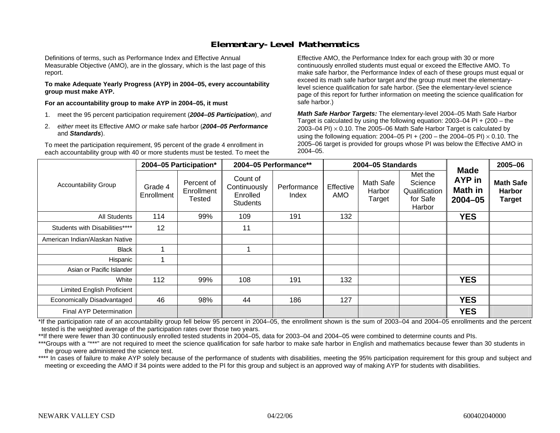### **Elementary-Level Mathematics**

Definitions of terms, such as Performance Index and Effective Annual Measurable Objective (AMO), are in the glossary, which is the last page of this report.

**To make Adequate Yearly Progress (AYP) in 2004–05, every accountability group must make AYP.** 

**For an accountability group to make AYP in 2004–05, it must** 

- 1. meet the 95 percent participation requirement (*2004–05 Participation*), *and*
- 2. *either* meet its Effective AMO *or* make safe harbor (*2004–05 Performance*  and *Standards*).

To meet the participation requirement, 95 percent of the grade 4 enrollment in each accountability group with 40 or more students must be tested. To meet the

Effective AMO, the Performance Index for each group with 30 or more continuously enrolled students must equal or exceed the Effective AMO. To make safe harbor, the Performance Index of each of these groups must equal or exceed its math safe harbor target *and* the group must meet the elementarylevel science qualification for safe harbor. (See the elementary-level science page of this report for further information on meeting the science qualification for safe harbor.)

*Math Safe Harbor Targets:* The elementary-level 2004–05 Math Safe Harbor Target is calculated by using the following equation: 2003–04 PI + (200 – the 2003–04 PI)  $\times$  0.10. The 2005–06 Math Safe Harbor Target is calculated by using the following equation: 2004–05 PI + (200 – the 2004–05 PI) × 0.10. The 2005–06 target is provided for groups whose PI was below the Effective AMO in 2004–05.

|                                   |                       | 2004-05 Participation*             | 2004-05 Performance**                                   |                      |                         | 2004-05 Standards                    |                                                           | <b>Made</b>                             | 2005-06                                            |
|-----------------------------------|-----------------------|------------------------------------|---------------------------------------------------------|----------------------|-------------------------|--------------------------------------|-----------------------------------------------------------|-----------------------------------------|----------------------------------------------------|
| <b>Accountability Group</b>       | Grade 4<br>Enrollment | Percent of<br>Enrollment<br>Tested | Count of<br>Continuously<br>Enrolled<br><b>Students</b> | Performance<br>Index | Effective<br><b>AMO</b> | <b>Math Safe</b><br>Harbor<br>Target | Met the<br>Science<br>Qualification<br>for Safe<br>Harbor | AYP in<br><b>Math in</b><br>$2004 - 05$ | <b>Math Safe</b><br><b>Harbor</b><br><b>Target</b> |
| All Students                      | 114                   | 99%                                | 109                                                     | 191                  | 132                     |                                      |                                                           | <b>YES</b>                              |                                                    |
| Students with Disabilities****    | 12                    |                                    | 11                                                      |                      |                         |                                      |                                                           |                                         |                                                    |
| American Indian/Alaskan Native    |                       |                                    |                                                         |                      |                         |                                      |                                                           |                                         |                                                    |
| <b>Black</b>                      |                       |                                    |                                                         |                      |                         |                                      |                                                           |                                         |                                                    |
| Hispanic                          |                       |                                    |                                                         |                      |                         |                                      |                                                           |                                         |                                                    |
| Asian or Pacific Islander         |                       |                                    |                                                         |                      |                         |                                      |                                                           |                                         |                                                    |
| White                             | 112                   | 99%                                | 108                                                     | 191                  | 132                     |                                      |                                                           | <b>YES</b>                              |                                                    |
| <b>Limited English Proficient</b> |                       |                                    |                                                         |                      |                         |                                      |                                                           |                                         |                                                    |
| Economically Disadvantaged        | 46                    | 98%                                | 44                                                      | 186                  | 127                     |                                      |                                                           | <b>YES</b>                              |                                                    |
| Final AYP Determination           |                       |                                    |                                                         |                      |                         |                                      |                                                           | <b>YES</b>                              |                                                    |

\*If the participation rate of an accountability group fell below 95 percent in 2004–05, the enrollment shown is the sum of 2003–04 and 2004–05 enrollments and the percent tested is the weighted average of the participation rates over those two years.

\*\*If there were fewer than 30 continuously enrolled tested students in 2004–05, data for 2003–04 and 2004–05 were combined to determine counts and PIs.

\*\*\*Groups with a "\*\*\*" are not required to meet the science qualification for safe harbor to make safe harbor in English and mathematics because fewer than 30 students in the group were administered the science test.

\*\*\*\* In cases of failure to make AYP solely because of the performance of students with disabilities, meeting the 95% participation requirement for this group and subject and meeting or exceeding the AMO if 34 points were added to the PI for this group and subject is an approved way of making AYP for students with disabilities.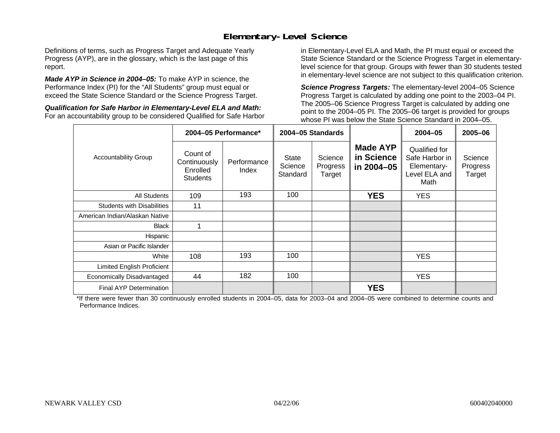### **Elementary-Level Science**

Definitions of terms, such as Progress Target and Adequate Yearly Progress (AYP), are in the glossary, which is the last page of this report.

*Made AYP in Science in 2004–05:* To make AYP in science, the Performance Index (PI) for the "All Students" group must equal or exceed the State Science Standard or the Science Progress Target.

*Qualification for Safe Harbor in Elementary-Level ELA and Math:* For an accountability group to be considered Qualified for Safe Harbor

in Elementary-Level ELA and Math, the PI must equal or exceed the State Science Standard or the Science Progress Target in elementarylevel science for that group. Groups with fewer than 30 students tested in elementary-level science are not subject to this qualification criterion.

*Science Progress Targets:* The elementary-level 2004–05 Science Progress Target is calculated by adding one point to the 2003–04 PI. The 2005–06 Science Progress Target is calculated by adding one point to the 2004–05 PI. The 2005–06 target is provided for groups whose PI was below the State Science Standard in 2004–05.

|                                   |                                                         | 2004-05 Performance* |                                     | 2004-05 Standards             |                                             | $2004 - 05$                                                             | $2005 - 06$                   |
|-----------------------------------|---------------------------------------------------------|----------------------|-------------------------------------|-------------------------------|---------------------------------------------|-------------------------------------------------------------------------|-------------------------------|
| <b>Accountability Group</b>       | Count of<br>Continuously<br>Enrolled<br><b>Students</b> | Performance<br>Index | <b>State</b><br>Science<br>Standard | Science<br>Progress<br>Target | <b>Made AYP</b><br>in Science<br>in 2004-05 | Qualified for<br>Safe Harbor in<br>Elementary-<br>Level ELA and<br>Math | Science<br>Progress<br>Target |
| <b>All Students</b>               | 109                                                     | 193                  | 100                                 |                               | <b>YES</b>                                  | <b>YES</b>                                                              |                               |
| <b>Students with Disabilities</b> | 11                                                      |                      |                                     |                               |                                             |                                                                         |                               |
| American Indian/Alaskan Native    |                                                         |                      |                                     |                               |                                             |                                                                         |                               |
| <b>Black</b>                      |                                                         |                      |                                     |                               |                                             |                                                                         |                               |
| Hispanic                          |                                                         |                      |                                     |                               |                                             |                                                                         |                               |
| Asian or Pacific Islander         |                                                         |                      |                                     |                               |                                             |                                                                         |                               |
| White                             | 108                                                     | 193                  | 100                                 |                               |                                             | <b>YES</b>                                                              |                               |
| Limited English Proficient        |                                                         |                      |                                     |                               |                                             |                                                                         |                               |
| Economically Disadvantaged        | 44                                                      | 182                  | 100                                 |                               |                                             | <b>YES</b>                                                              |                               |
| <b>Final AYP Determination</b>    |                                                         |                      |                                     |                               | <b>YES</b>                                  |                                                                         |                               |

\*If there were fewer than 30 continuously enrolled students in 2004–05, data for 2003–04 and 2004–05 were combined to determine counts and Performance Indices.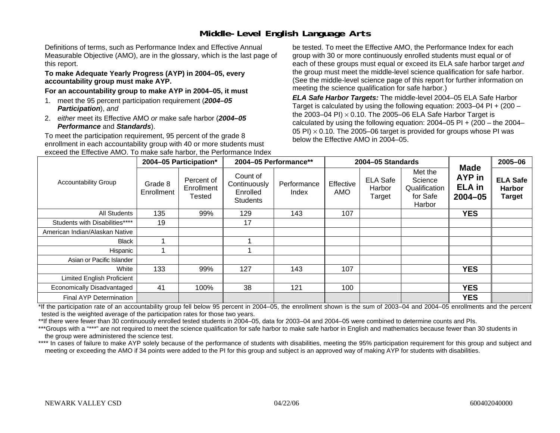# **Middle-Level English Language Arts**

Definitions of terms, such as Performance Index and Effective Annual Measurable Objective (AMO), are in the glossary, which is the last page of this report.

#### **To make Adequate Yearly Progress (AYP) in 2004–05, every accountability group must make AYP.**

#### **For an accountability group to make AYP in 2004–05, it must**

- 1. meet the 95 percent participation requirement (*2004–05 Participation*), *and*
- 2. *either* meet its Effective AMO *or* make safe harbor (*2004–05 Performance* and *Standards*).

To meet the participation requirement, 95 percent of the grade 8 enrollment in each accountability group with 40 or more students must exceed the Effective AMO. To make safe harbor, the Performance Index be tested. To meet the Effective AMO, the Performance Index for each group with 30 or more continuously enrolled students must equal or of each of these groups must equal or exceed its ELA safe harbor target *and* the group must meet the middle-level science qualification for safe harbor. (See the middle-level science page of this report for further information on meeting the science qualification for safe harbor.)

*ELA Safe Harbor Targets:* The middle-level 2004–05 ELA Safe Harbor Target is calculated by using the following equation: 2003–04 PI + (200 – the 2003–04 PI) <sup>×</sup> 0.10. The 2005–06 ELA Safe Harbor Target is calculated by using the following equation:  $2004-05$  PI +  $(200 -$  the  $2004-$ 05 PI)  $\times$  0.10. The 2005–06 target is provided for groups whose PI was below the Effective AMO in 2004–05.

|                                   |                       | 2004-05 Participation*                    |                                                         | 2004-05 Performance** |                  | 2004-05 Standards                   |                                                           |                                                       | 2005-06                                           |
|-----------------------------------|-----------------------|-------------------------------------------|---------------------------------------------------------|-----------------------|------------------|-------------------------------------|-----------------------------------------------------------|-------------------------------------------------------|---------------------------------------------------|
| <b>Accountability Group</b>       | Grade 8<br>Enrollment | Percent of<br>Enrollment<br><b>Tested</b> | Count of<br>Continuously<br>Enrolled<br><b>Students</b> | Performance<br>Index  | Effective<br>AMO | <b>ELA Safe</b><br>Harbor<br>Target | Met the<br>Science<br>Qualification<br>for Safe<br>Harbor | <b>Made</b><br>AYP in<br><b>ELA</b> in<br>$2004 - 05$ | <b>ELA Safe</b><br><b>Harbor</b><br><b>Target</b> |
| All Students                      | 135                   | 99%                                       | 129                                                     | 143                   | 107              |                                     |                                                           | <b>YES</b>                                            |                                                   |
| Students with Disabilities****    | 19                    |                                           | 17                                                      |                       |                  |                                     |                                                           |                                                       |                                                   |
| American Indian/Alaskan Native    |                       |                                           |                                                         |                       |                  |                                     |                                                           |                                                       |                                                   |
| <b>Black</b>                      |                       |                                           |                                                         |                       |                  |                                     |                                                           |                                                       |                                                   |
| Hispanic                          |                       |                                           |                                                         |                       |                  |                                     |                                                           |                                                       |                                                   |
| Asian or Pacific Islander         |                       |                                           |                                                         |                       |                  |                                     |                                                           |                                                       |                                                   |
| White                             | 133                   | 99%                                       | 127                                                     | 143                   | 107              |                                     |                                                           | <b>YES</b>                                            |                                                   |
| <b>Limited English Proficient</b> |                       |                                           |                                                         |                       |                  |                                     |                                                           |                                                       |                                                   |
| Economically Disadvantaged        | 41                    | 100%                                      | 38                                                      | 121                   | 100              |                                     |                                                           | <b>YES</b>                                            |                                                   |
| Final AYP Determination           |                       |                                           |                                                         |                       |                  |                                     |                                                           | <b>YES</b>                                            |                                                   |

\*If the participation rate of an accountability group fell below 95 percent in 2004–05, the enrollment shown is the sum of 2003–04 and 2004–05 enrollments and the percent tested is the weighted average of the participation rates for those two years.

\*\*If there were fewer than 30 continuously enrolled tested students in 2004–05, data for 2003–04 and 2004–05 were combined to determine counts and PIs.

\*\*\*Groups with a "\*\*\*" are not required to meet the science qualification for safe harbor to make safe harbor in English and mathematics because fewer than 30 students in the group were administered the science test.

\*\*\*\* In cases of failure to make AYP solely because of the performance of students with disabilities, meeting the 95% participation requirement for this group and subject and meeting or exceeding the AMO if 34 points were added to the PI for this group and subject is an approved way of making AYP for students with disabilities.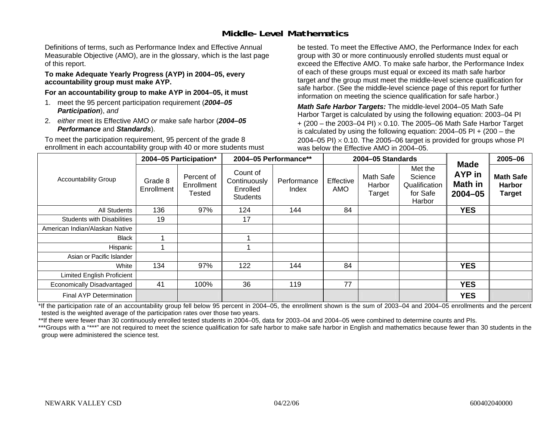### **Middle-Level Mathematics**

Definitions of terms, such as Performance Index and Effective Annual Measurable Objective (AMO), are in the glossary, which is the last page of this report.

#### **To make Adequate Yearly Progress (AYP) in 2004–05, every accountability group must make AYP.**

**For an accountability group to make AYP in 2004–05, it must** 

- 1. meet the 95 percent participation requirement (*2004–05 Participation*), *and*
- 2. *either* meet its Effective AMO *or* make safe harbor (*2004–05 Performance* and *Standards*).

To meet the participation requirement, 95 percent of the grade 8 enrollment in each accountability group with 40 or more students must be tested. To meet the Effective AMO, the Performance Index for each group with 30 or more continuously enrolled students must equal or exceed the Effective AMO. To make safe harbor, the Performance Index of each of these groups must equal or exceed its math safe harbor target *and* the group must meet the middle-level science qualification for safe harbor. (See the middle-level science page of this report for further information on meeting the science qualification for safe harbor.)

*Math Safe Harbor Targets:* The middle-level 2004–05 Math Safe Harbor Target is calculated by using the following equation: 2003–04 PI + (200 – the 2003–04 PI) <sup>×</sup> 0.10. The 2005–06 Math Safe Harbor Target is calculated by using the following equation: 2004–05 PI + (200 – the 2004–05 PI)  $\times$  0.10. The 2005–06 target is provided for groups whose PI was below the Effective AMO in 2004–05.

|                                   |                       | 2004-05 Participation*                    |                                                         | 2004-05 Performance** |                  | 2004-05 Standards             |                                                           | <b>Made</b>                      | 2005-06                                            |
|-----------------------------------|-----------------------|-------------------------------------------|---------------------------------------------------------|-----------------------|------------------|-------------------------------|-----------------------------------------------------------|----------------------------------|----------------------------------------------------|
| <b>Accountability Group</b>       | Grade 8<br>Enrollment | Percent of<br>Enrollment<br><b>Tested</b> | Count of<br>Continuously<br>Enrolled<br><b>Students</b> | Performance<br>Index  | Effective<br>AMO | Math Safe<br>Harbor<br>Target | Met the<br>Science<br>Qualification<br>for Safe<br>Harbor | AYP in<br>Math in<br>$2004 - 05$ | <b>Math Safe</b><br><b>Harbor</b><br><b>Target</b> |
| All Students                      | 136                   | 97%                                       | 124                                                     | 144                   | 84               |                               |                                                           | <b>YES</b>                       |                                                    |
| <b>Students with Disabilities</b> | 19                    |                                           | 17                                                      |                       |                  |                               |                                                           |                                  |                                                    |
| American Indian/Alaskan Native    |                       |                                           |                                                         |                       |                  |                               |                                                           |                                  |                                                    |
| Black                             |                       |                                           |                                                         |                       |                  |                               |                                                           |                                  |                                                    |
| Hispanic                          |                       |                                           |                                                         |                       |                  |                               |                                                           |                                  |                                                    |
| Asian or Pacific Islander         |                       |                                           |                                                         |                       |                  |                               |                                                           |                                  |                                                    |
| White                             | 134                   | 97%                                       | 122                                                     | 144                   | 84               |                               |                                                           | <b>YES</b>                       |                                                    |
| Limited English Proficient        |                       |                                           |                                                         |                       |                  |                               |                                                           |                                  |                                                    |
| Economically Disadvantaged        | 41                    | 100%                                      | 36                                                      | 119                   | 77               |                               |                                                           | <b>YES</b>                       |                                                    |
| <b>Final AYP Determination</b>    |                       |                                           |                                                         |                       |                  |                               |                                                           | <b>YES</b>                       |                                                    |

\*If the participation rate of an accountability group fell below 95 percent in 2004–05, the enrollment shown is the sum of 2003–04 and 2004–05 enrollments and the percent tested is the weighted average of the participation rates over those two years.

\*\*If there were fewer than 30 continuously enrolled tested students in 2004–05, data for 2003–04 and 2004–05 were combined to determine counts and PIs.

\*\*\*Groups with a "\*\*\*" are not required to meet the science qualification for safe harbor to make safe harbor in English and mathematics because fewer than 30 students in the group were administered the science test.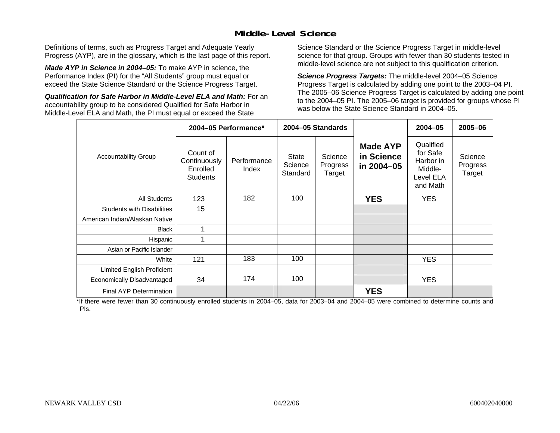### **Middle-Level Science**

Definitions of terms, such as Progress Target and Adequate Yearly Progress (AYP), are in the glossary, which is the last page of this report.

*Made AYP in Science in 2004–05:* To make AYP in science, the Performance Index (PI) for the "All Students" group must equal or exceed the State Science Standard or the Science Progress Target.

*Qualification for Safe Harbor in Middle-Level ELA and Math:* For an accountability group to be considered Qualified for Safe Harbor in Middle-Level ELA and Math, the PI must equal or exceed the State

Science Standard or the Science Progress Target in middle-level science for that group. Groups with fewer than 30 students tested in middle-level science are not subject to this qualification criterion.

*Science Progress Targets:* The middle-level 2004–05 Science Progress Target is calculated by adding one point to the 2003–04 PI. The 2005–06 Science Progress Target is calculated by adding one point to the 2004–05 PI. The 2005–06 target is provided for groups whose PI was below the State Science Standard in 2004–05.

|                                   |                                                         | 2004-05 Performance* |                                     | 2004-05 Standards             |                                             | $2004 - 05$                                                            | 2005-06                       |
|-----------------------------------|---------------------------------------------------------|----------------------|-------------------------------------|-------------------------------|---------------------------------------------|------------------------------------------------------------------------|-------------------------------|
| <b>Accountability Group</b>       | Count of<br>Continuously<br>Enrolled<br><b>Students</b> | Performance<br>Index | <b>State</b><br>Science<br>Standard | Science<br>Progress<br>Target | <b>Made AYP</b><br>in Science<br>in 2004-05 | Qualified<br>for Safe<br>Harbor in<br>Middle-<br>Level ELA<br>and Math | Science<br>Progress<br>Target |
| <b>All Students</b>               | 123                                                     | 182                  | 100                                 |                               | <b>YES</b>                                  | <b>YES</b>                                                             |                               |
| <b>Students with Disabilities</b> | 15                                                      |                      |                                     |                               |                                             |                                                                        |                               |
| American Indian/Alaskan Native    |                                                         |                      |                                     |                               |                                             |                                                                        |                               |
| <b>Black</b>                      | 1                                                       |                      |                                     |                               |                                             |                                                                        |                               |
| Hispanic                          | 1                                                       |                      |                                     |                               |                                             |                                                                        |                               |
| Asian or Pacific Islander         |                                                         |                      |                                     |                               |                                             |                                                                        |                               |
| White                             | 121                                                     | 183                  | 100                                 |                               |                                             | <b>YES</b>                                                             |                               |
| Limited English Proficient        |                                                         |                      |                                     |                               |                                             |                                                                        |                               |
| Economically Disadvantaged        | 34                                                      | 174                  | 100                                 |                               |                                             | <b>YES</b>                                                             |                               |
| <b>Final AYP Determination</b>    |                                                         |                      |                                     |                               | <b>YES</b>                                  |                                                                        |                               |

\*If there were fewer than 30 continuously enrolled students in 2004–05, data for 2003–04 and 2004–05 were combined to determine counts and PIs.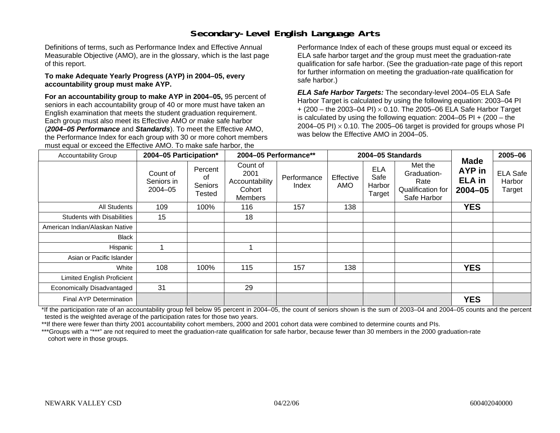# **Secondary-Level English Language Arts**

Definitions of terms, such as Performance Index and Effective Annual Measurable Objective (AMO), are in the glossary, which is the last page of this report.

#### **To make Adequate Yearly Progress (AYP) in 2004–05, every accountability group must make AYP.**

**For an accountability group to make AYP in 2004–05,** 95 percent of seniors in each accountability group of 40 or more must have taken an English examination that meets the student graduation requirement. Each group must also meet its Effective AMO *or* make safe harbor (*2004–05 Performance* and *Standards*). To meet the Effective AMO, the Performance Index for each group with 30 or more cohort members must equal or exceed the Effective AMO. To make safe harbor, the

Performance Index of each of these groups must equal or exceed its ELA safe harbor target *and* the group must meet the graduation-rate qualification for safe harbor. (See the graduation-rate page of this report for further information on meeting the graduation-rate qualification for safe harbor.)

*ELA Safe Harbor Targets:* The secondary-level 2004–05 ELA Safe Harbor Target is calculated by using the following equation: 2003–04 PI + (200 – the 2003–04 PI) <sup>×</sup> 0.10. The 2005–06 ELA Safe Harbor Target is calculated by using the following equation:  $2004-05$  PI  $+$  (200 – the 2004–05 PI)  $\times$  0.10. The 2005–06 target is provided for groups whose PI was below the Effective AMO in 2004–05.

| <b>Accountability Group</b>       | 2004-05 Participation*                |                                    | 2004-05 Performance**                                   |                      | 2004-05 Standards       |                                        |                                                                    | 2005-06                                                  |                                     |
|-----------------------------------|---------------------------------------|------------------------------------|---------------------------------------------------------|----------------------|-------------------------|----------------------------------------|--------------------------------------------------------------------|----------------------------------------------------------|-------------------------------------|
|                                   | Count of<br>Seniors in<br>$2004 - 05$ | Percent<br>0f<br>Seniors<br>Tested | Count of<br>2001<br>Accountability<br>Cohort<br>Members | Performance<br>Index | Effective<br><b>AMO</b> | <b>ELA</b><br>Safe<br>Harbor<br>Target | Met the<br>Graduation-<br>Rate<br>Qualification for<br>Safe Harbor | <b>Made</b><br><b>AYP</b> in<br><b>ELA</b> in<br>2004-05 | <b>ELA Safe</b><br>Harbor<br>Target |
| All Students                      | 109                                   | 100%                               | 116                                                     | 157                  | 138                     |                                        |                                                                    | <b>YES</b>                                               |                                     |
| <b>Students with Disabilities</b> | 15                                    |                                    | 18                                                      |                      |                         |                                        |                                                                    |                                                          |                                     |
| American Indian/Alaskan Native    |                                       |                                    |                                                         |                      |                         |                                        |                                                                    |                                                          |                                     |
| Black                             |                                       |                                    |                                                         |                      |                         |                                        |                                                                    |                                                          |                                     |
| Hispanic                          |                                       |                                    |                                                         |                      |                         |                                        |                                                                    |                                                          |                                     |
| Asian or Pacific Islander         |                                       |                                    |                                                         |                      |                         |                                        |                                                                    |                                                          |                                     |
| White                             | 108                                   | 100%                               | 115                                                     | 157                  | 138                     |                                        |                                                                    | <b>YES</b>                                               |                                     |
| Limited English Proficient        |                                       |                                    |                                                         |                      |                         |                                        |                                                                    |                                                          |                                     |
| Economically Disadvantaged        | 31                                    |                                    | 29                                                      |                      |                         |                                        |                                                                    |                                                          |                                     |
| Final AYP Determination           |                                       |                                    |                                                         |                      |                         |                                        |                                                                    | <b>YES</b>                                               |                                     |

\*If the participation rate of an accountability group fell below 95 percent in 2004–05, the count of seniors shown is the sum of 2003–04 and 2004–05 counts and the percent tested is the weighted average of the participation rates for those two years.

\*\*If there were fewer than thirty 2001 accountability cohort members, 2000 and 2001 cohort data were combined to determine counts and PIs.

\*\*\*Groups with a "\*\*\*" are not required to meet the graduation-rate qualification for safe harbor, because fewer than 30 members in the 2000 graduation-rate cohort were in those groups.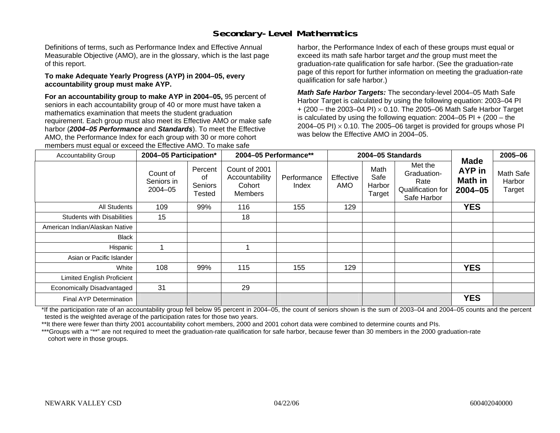# **Secondary-Level Mathematics**

Definitions of terms, such as Performance Index and Effective Annual Measurable Objective (AMO), are in the glossary, which is the last page of this report.

#### **To make Adequate Yearly Progress (AYP) in 2004–05, every accountability group must make AYP.**

**For an accountability group to make AYP in 2004–05,** 95 percent of seniors in each accountability group of 40 or more must have taken a mathematics examination that meets the student graduation requirement. Each group must also meet its Effective AMO *or* make safe harbor (*2004–05 Performance* and *Standards*). To meet the Effective AMO, the Performance Index for each group with 30 or more cohort members must equal or exceed the Effective AMO. To make safe

harbor, the Performance Index of each of these groups must equal or exceed its math safe harbor target *and* the group must meet the graduation-rate qualification for safe harbor. (See the graduation-rate page of this report for further information on meeting the graduation-rate qualification for safe harbor.)

*Math Safe Harbor Targets:* The secondary-level 2004–05 Math Safe Harbor Target is calculated by using the following equation: 2003–04 PI + (200 – the 2003–04 PI) <sup>×</sup> 0.10. The 2005–06 Math Safe Harbor Target is calculated by using the following equation:  $2004-05$  PI  $+$  (200 – the 2004–05 PI)  $\times$  0.10. The 2005–06 target is provided for groups whose PI was below the Effective AMO in 2004–05.

| <b>Accountability Group</b>       | 2004-05 Participation*            |                                    | 2004-05 Performance**                                |                      |                  | 2004-05 Standards                |                                                                    | <b>Made</b>                      | 2005-06                       |
|-----------------------------------|-----------------------------------|------------------------------------|------------------------------------------------------|----------------------|------------------|----------------------------------|--------------------------------------------------------------------|----------------------------------|-------------------------------|
|                                   | Count of<br>Seniors in<br>2004-05 | Percent<br>οf<br>Seniors<br>Tested | Count of 2001<br>Accountability<br>Cohort<br>Members | Performance<br>Index | Effective<br>AMO | Math<br>Safe<br>Harbor<br>Target | Met the<br>Graduation-<br>Rate<br>Qualification for<br>Safe Harbor | AYP in<br>Math in<br>$2004 - 05$ | Math Safe<br>Harbor<br>Target |
| All Students                      | 109                               | 99%                                | 116                                                  | 155                  | 129              |                                  |                                                                    | <b>YES</b>                       |                               |
| <b>Students with Disabilities</b> | 15                                |                                    | 18                                                   |                      |                  |                                  |                                                                    |                                  |                               |
| American Indian/Alaskan Native    |                                   |                                    |                                                      |                      |                  |                                  |                                                                    |                                  |                               |
| <b>Black</b>                      |                                   |                                    |                                                      |                      |                  |                                  |                                                                    |                                  |                               |
| Hispanic                          |                                   |                                    |                                                      |                      |                  |                                  |                                                                    |                                  |                               |
| Asian or Pacific Islander         |                                   |                                    |                                                      |                      |                  |                                  |                                                                    |                                  |                               |
| White                             | 108                               | 99%                                | 115                                                  | 155                  | 129              |                                  |                                                                    | <b>YES</b>                       |                               |
| <b>Limited English Proficient</b> |                                   |                                    |                                                      |                      |                  |                                  |                                                                    |                                  |                               |
| Economically Disadvantaged        | 31                                |                                    | 29                                                   |                      |                  |                                  |                                                                    |                                  |                               |
| Final AYP Determination           |                                   |                                    |                                                      |                      |                  |                                  |                                                                    | <b>YES</b>                       |                               |

\*If the participation rate of an accountability group fell below 95 percent in 2004–05, the count of seniors shown is the sum of 2003–04 and 2004–05 counts and the percent tested is the weighted average of the participation rates for those two years.

\*\*It there were fewer than thirty 2001 accountability cohort members, 2000 and 2001 cohort data were combined to determine counts and PIs.

\*\*\*Groups with a "\*\*" are not required to meet the graduation-rate qualification for safe harbor, because fewer than 30 members in the 2000 graduation-rate cohort were in those groups.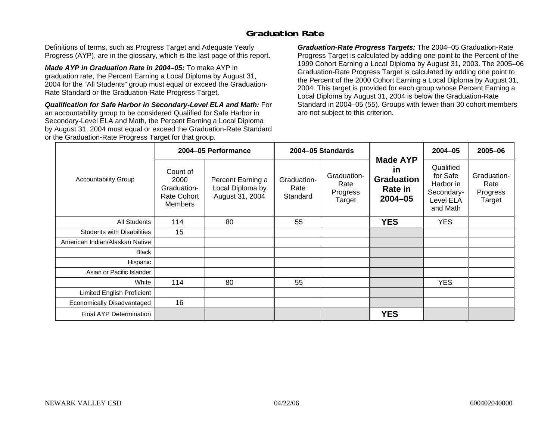### **Graduation Rate**

Definitions of terms, such as Progress Target and Adequate Yearly Progress (AYP), are in the glossary, which is the last page of this report.

*Made AYP in Graduation Rate in 2004–05:* To make AYP in graduation rate, the Percent Earning a Local Diploma by August 31, 2004 for the "All Students" group must equal or exceed the Graduation-Rate Standard or the Graduation-Rate Progress Target.

*Qualification for Safe Harbor in Secondary-Level ELA and Math:* For an accountability group to be considered Qualified for Safe Harbor in Secondary-Level ELA and Math, the Percent Earning a Local Diploma by August 31, 2004 must equal or exceed the Graduation-Rate Standard or the Graduation-Rate Progress Target for that group.

*Graduation-Rate Progress Targets:* The 2004–05 Graduation-Rate Progress Target is calculated by adding one point to the Percent of the 1999 Cohort Earning a Local Diploma by August 31, 2003. The 2005–06 Graduation-Rate Progress Target is calculated by adding one point to the Percent of the 2000 Cohort Earning a Local Diploma by August 31, 2004. This target is provided for each group whose Percent Earning a Local Diploma by August 31, 2004 is below the Graduation-Rate Standard in 2004–05 (55). Groups with fewer than 30 cohort members are not subject to this criterion.

|                                   |                                                                  | 2004-05 Performance                                      |                                 | 2004-05 Standards                         |                                                                             | $2004 - 05$                                                               | 2005-06                                   |
|-----------------------------------|------------------------------------------------------------------|----------------------------------------------------------|---------------------------------|-------------------------------------------|-----------------------------------------------------------------------------|---------------------------------------------------------------------------|-------------------------------------------|
| <b>Accountability Group</b>       | Count of<br>2000<br>Graduation-<br>Rate Cohort<br><b>Members</b> | Percent Earning a<br>Local Diploma by<br>August 31, 2004 | Graduation-<br>Rate<br>Standard | Graduation-<br>Rate<br>Progress<br>Target | <b>Made AYP</b><br><u>in</u><br><b>Graduation</b><br>Rate in<br>$2004 - 05$ | Qualified<br>for Safe<br>Harbor in<br>Secondary-<br>Level ELA<br>and Math | Graduation-<br>Rate<br>Progress<br>Target |
| All Students                      | 114                                                              | 80                                                       | 55                              |                                           | <b>YES</b>                                                                  | <b>YES</b>                                                                |                                           |
| <b>Students with Disabilities</b> | 15                                                               |                                                          |                                 |                                           |                                                                             |                                                                           |                                           |
| American Indian/Alaskan Native    |                                                                  |                                                          |                                 |                                           |                                                                             |                                                                           |                                           |
| <b>Black</b>                      |                                                                  |                                                          |                                 |                                           |                                                                             |                                                                           |                                           |
| Hispanic                          |                                                                  |                                                          |                                 |                                           |                                                                             |                                                                           |                                           |
| Asian or Pacific Islander         |                                                                  |                                                          |                                 |                                           |                                                                             |                                                                           |                                           |
| White                             | 114                                                              | 80                                                       | 55                              |                                           |                                                                             | <b>YES</b>                                                                |                                           |
| Limited English Proficient        |                                                                  |                                                          |                                 |                                           |                                                                             |                                                                           |                                           |
| Economically Disadvantaged        | 16                                                               |                                                          |                                 |                                           |                                                                             |                                                                           |                                           |
| <b>Final AYP Determination</b>    |                                                                  |                                                          |                                 |                                           | <b>YES</b>                                                                  |                                                                           |                                           |